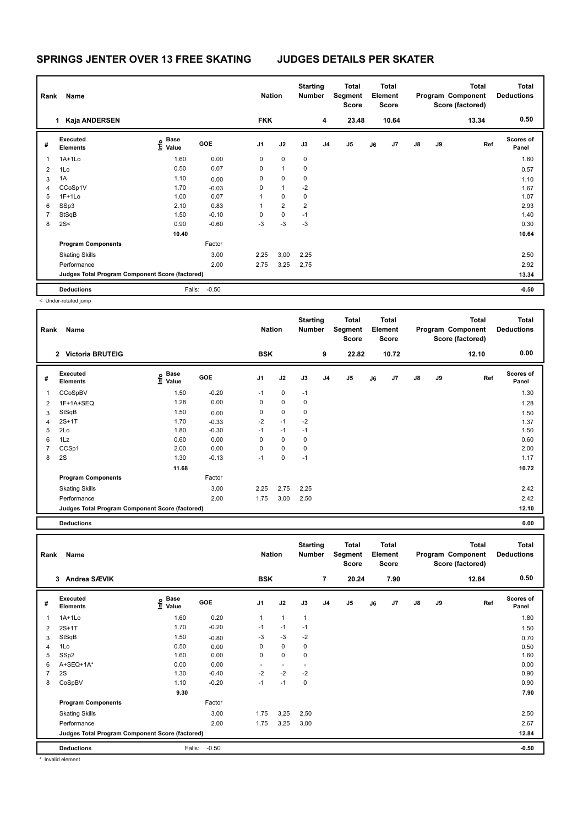| Rank           | Name                                            |                                  |            | <b>Nation</b> |                | <b>Starting</b><br><b>Number</b> |                | Total<br>Segment<br><b>Score</b> |    | <b>Total</b><br>Element<br>Score |               |    | <b>Total</b><br>Program Component<br>Score (factored) | <b>Total</b><br><b>Deductions</b> |
|----------------|-------------------------------------------------|----------------------------------|------------|---------------|----------------|----------------------------------|----------------|----------------------------------|----|----------------------------------|---------------|----|-------------------------------------------------------|-----------------------------------|
|                | Kaja ANDERSEN<br>1                              |                                  |            | <b>FKK</b>    |                |                                  | 4              | 23.48                            |    | 10.64                            |               |    | 13.34                                                 | 0.50                              |
| #              | <b>Executed</b><br><b>Elements</b>              | <b>Base</b><br>o Base<br>⊆ Value | <b>GOE</b> | J1            | J2             | J3                               | J <sub>4</sub> | J5                               | J6 | J <sub>7</sub>                   | $\mathsf{J}8$ | J9 | Ref                                                   | <b>Scores of</b><br>Panel         |
| 1              | $1A+1Lo$                                        | 1.60                             | 0.00       | 0             | $\mathbf 0$    | 0                                |                |                                  |    |                                  |               |    |                                                       | 1.60                              |
| $\overline{2}$ | 1Lo                                             | 0.50                             | 0.07       | 0             | $\mathbf{1}$   | 0                                |                |                                  |    |                                  |               |    |                                                       | 0.57                              |
| 3              | 1A                                              | 1.10                             | 0.00       | 0             | $\mathbf 0$    | $\mathbf 0$                      |                |                                  |    |                                  |               |    |                                                       | 1.10                              |
| 4              | CCoSp1V                                         | 1.70                             | $-0.03$    | 0             | $\mathbf{1}$   | $-2$                             |                |                                  |    |                                  |               |    |                                                       | 1.67                              |
| 5              | $1F+1Lo$                                        | 1.00                             | 0.07       | 1             | $\mathbf 0$    | 0                                |                |                                  |    |                                  |               |    |                                                       | 1.07                              |
| 6              | SSp3                                            | 2.10                             | 0.83       | 1             | $\overline{2}$ | $\overline{2}$                   |                |                                  |    |                                  |               |    |                                                       | 2.93                              |
| $\overline{7}$ | StSqB                                           | 1.50                             | $-0.10$    | 0             | $\mathbf 0$    | $-1$                             |                |                                  |    |                                  |               |    |                                                       | 1.40                              |
| 8              | 2S<                                             | 0.90                             | $-0.60$    | $-3$          | $-3$           | $-3$                             |                |                                  |    |                                  |               |    |                                                       | 0.30                              |
|                |                                                 | 10.40                            |            |               |                |                                  |                |                                  |    |                                  |               |    |                                                       | 10.64                             |
|                | <b>Program Components</b>                       |                                  | Factor     |               |                |                                  |                |                                  |    |                                  |               |    |                                                       |                                   |
|                | <b>Skating Skills</b>                           |                                  | 3.00       | 2,25          | 3,00           | 2,25                             |                |                                  |    |                                  |               |    |                                                       | 2.50                              |
|                | Performance                                     |                                  | 2.00       | 2,75          | 3,25           | 2,75                             |                |                                  |    |                                  |               |    |                                                       | 2.92                              |
|                | Judges Total Program Component Score (factored) |                                  |            |               |                |                                  |                |                                  |    |                                  |               |    |                                                       | 13.34                             |
|                | <b>Deductions</b>                               | Falls:                           | $-0.50$    |               |                |                                  |                |                                  |    |                                  |               |    |                                                       | $-0.50$                           |

< Under-rotated jump

| Rank | Name                                            |                       |         | <b>Nation</b> |             | <b>Starting</b><br><b>Number</b> |                | Total<br>Segment<br><b>Score</b> |    | Total<br>Element<br>Score |               |    | <b>Total</b><br>Program Component<br>Score (factored) | <b>Total</b><br><b>Deductions</b> |
|------|-------------------------------------------------|-----------------------|---------|---------------|-------------|----------------------------------|----------------|----------------------------------|----|---------------------------|---------------|----|-------------------------------------------------------|-----------------------------------|
|      | 2 Victoria BRUTEIG                              |                       |         | <b>BSK</b>    |             |                                  | 9              | 22.82                            |    | 10.72                     |               |    | 12.10                                                 | 0.00                              |
| #    | Executed<br><b>Elements</b>                     | Base<br>lnfo<br>Value | GOE     | J1            | J2          | J3                               | J <sub>4</sub> | J <sub>5</sub>                   | J6 | J7                        | $\mathsf{J}8$ | J9 | Ref                                                   | <b>Scores of</b><br>Panel         |
| 1    | CCoSpBV                                         | 1.50                  | $-0.20$ | $-1$          | $\mathbf 0$ | $-1$                             |                |                                  |    |                           |               |    |                                                       | 1.30                              |
| 2    | 1F+1A+SEQ                                       | 1.28                  | 0.00    | 0             | $\mathbf 0$ | 0                                |                |                                  |    |                           |               |    |                                                       | 1.28                              |
| 3    | StSqB                                           | 1.50                  | 0.00    | 0             | $\pmb{0}$   | 0                                |                |                                  |    |                           |               |    |                                                       | 1.50                              |
| 4    | $2S+1T$                                         | 1.70                  | $-0.33$ | $-2$          | $-1$        | $-2$                             |                |                                  |    |                           |               |    |                                                       | 1.37                              |
| 5    | 2Lo                                             | 1.80                  | $-0.30$ | $-1$          | $-1$        | $-1$                             |                |                                  |    |                           |               |    |                                                       | 1.50                              |
| 6    | 1Lz                                             | 0.60                  | 0.00    | 0             | $\mathbf 0$ | 0                                |                |                                  |    |                           |               |    |                                                       | 0.60                              |
|      | CCSp1                                           | 2.00                  | 0.00    | 0             | $\mathbf 0$ | 0                                |                |                                  |    |                           |               |    |                                                       | 2.00                              |
| 8    | 2S                                              | 1.30                  | $-0.13$ | $-1$          | 0           | $-1$                             |                |                                  |    |                           |               |    |                                                       | 1.17                              |
|      |                                                 | 11.68                 |         |               |             |                                  |                |                                  |    |                           |               |    |                                                       | 10.72                             |
|      | <b>Program Components</b>                       |                       | Factor  |               |             |                                  |                |                                  |    |                           |               |    |                                                       |                                   |
|      | <b>Skating Skills</b>                           |                       | 3.00    | 2,25          | 2,75        | 2,25                             |                |                                  |    |                           |               |    |                                                       | 2.42                              |
|      | Performance                                     |                       | 2.00    | 1,75          | 3,00        | 2,50                             |                |                                  |    |                           |               |    |                                                       | 2.42                              |
|      | Judges Total Program Component Score (factored) |                       |         |               |             |                                  |                |                                  |    |                           |               |    |                                                       | 12.10                             |

**Deductions 0.00**

| Rank           | Name                                            |                                  |         | <b>Nation</b> |                          | <b>Starting</b><br><b>Number</b> |                | Total<br>Segment<br><b>Score</b> |    | Total<br>Element<br>Score |               |    | <b>Total</b><br>Program Component<br>Score (factored) | <b>Total</b><br><b>Deductions</b> |
|----------------|-------------------------------------------------|----------------------------------|---------|---------------|--------------------------|----------------------------------|----------------|----------------------------------|----|---------------------------|---------------|----|-------------------------------------------------------|-----------------------------------|
|                | Andrea SÆVIK<br>3                               |                                  |         | <b>BSK</b>    |                          |                                  | $\overline{7}$ | 20.24                            |    | 7.90                      |               |    | 12.84                                                 | 0.50                              |
| #              | Executed<br><b>Elements</b>                     | <b>Base</b><br>e Base<br>⊆ Value | GOE     | J1            | J2                       | J3                               | J <sub>4</sub> | J <sub>5</sub>                   | J6 | J7                        | $\mathsf{J}8$ | J9 | Ref                                                   | <b>Scores of</b><br>Panel         |
| 1              | $1A+1Lo$                                        | 1.60                             | 0.20    | $\mathbf{1}$  | $\mathbf{1}$             | $\mathbf{1}$                     |                |                                  |    |                           |               |    |                                                       | 1.80                              |
| 2              | $2S+1T$                                         | 1.70                             | $-0.20$ | $-1$          | $-1$                     | $-1$                             |                |                                  |    |                           |               |    |                                                       | 1.50                              |
| 3              | StSqB                                           | 1.50                             | $-0.80$ | $-3$          | $-3$                     | $-2$                             |                |                                  |    |                           |               |    |                                                       | 0.70                              |
| 4              | 1Lo                                             | 0.50                             | 0.00    | 0             | 0                        | $\mathbf 0$                      |                |                                  |    |                           |               |    |                                                       | 0.50                              |
| 5              | SSp2                                            | 1.60                             | 0.00    | 0             | $\mathbf 0$              | $\mathbf 0$                      |                |                                  |    |                           |               |    |                                                       | 1.60                              |
| 6              | A+SEQ+1A*                                       | 0.00                             | 0.00    | $\sim$        | $\overline{\phantom{a}}$ | $\overline{a}$                   |                |                                  |    |                           |               |    |                                                       | 0.00                              |
| $\overline{7}$ | 2S                                              | 1.30                             | $-0.40$ | $-2$          | $-2$                     | $-2$                             |                |                                  |    |                           |               |    |                                                       | 0.90                              |
| 8              | CoSpBV                                          | 1.10                             | $-0.20$ | $-1$          | $-1$                     | $\mathbf 0$                      |                |                                  |    |                           |               |    |                                                       | 0.90                              |
|                |                                                 | 9.30                             |         |               |                          |                                  |                |                                  |    |                           |               |    |                                                       | 7.90                              |
|                | <b>Program Components</b>                       |                                  | Factor  |               |                          |                                  |                |                                  |    |                           |               |    |                                                       |                                   |
|                | <b>Skating Skills</b>                           |                                  | 3.00    | 1,75          | 3,25                     | 2,50                             |                |                                  |    |                           |               |    |                                                       | 2.50                              |
|                | Performance                                     |                                  | 2.00    | 1,75          | 3,25                     | 3,00                             |                |                                  |    |                           |               |    |                                                       | 2.67                              |
|                | Judges Total Program Component Score (factored) |                                  |         |               |                          |                                  |                |                                  |    |                           |               |    |                                                       | 12.84                             |
|                | <b>Deductions</b>                               | Falls:                           | $-0.50$ |               |                          |                                  |                |                                  |    |                           |               |    |                                                       | $-0.50$                           |

\* Invalid element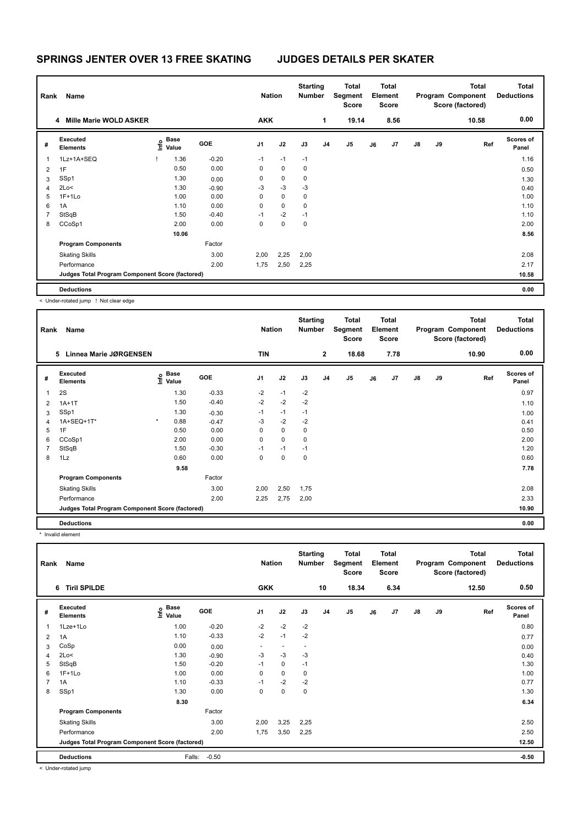| Rank | <b>Name</b>                                     |                                           |         | <b>Nation</b> |             | <b>Starting</b><br>Number |                | <b>Total</b><br>Segment<br><b>Score</b> |    | <b>Total</b><br>Element<br><b>Score</b> |               |    | <b>Total</b><br>Program Component<br>Score (factored) | <b>Total</b><br><b>Deductions</b> |
|------|-------------------------------------------------|-------------------------------------------|---------|---------------|-------------|---------------------------|----------------|-----------------------------------------|----|-----------------------------------------|---------------|----|-------------------------------------------------------|-----------------------------------|
|      | <b>Mille Marie WOLD ASKER</b><br>4              |                                           |         | <b>AKK</b>    |             |                           | 1              | 19.14                                   |    | 8.56                                    |               |    | 10.58                                                 | 0.00                              |
| #    | Executed<br><b>Elements</b>                     | $\frac{e}{E}$ Base<br>$\frac{E}{E}$ Value | GOE     | J1            | J2          | J3                        | J <sub>4</sub> | J <sub>5</sub>                          | J6 | J7                                      | $\mathsf{J}8$ | J9 | Ref                                                   | Scores of<br>Panel                |
| 1    | 1Lz+1A+SEQ                                      | 1.36                                      | $-0.20$ | $-1$          | $-1$        | $-1$                      |                |                                         |    |                                         |               |    |                                                       | 1.16                              |
| 2    | 1F                                              | 0.50                                      | 0.00    | 0             | $\mathbf 0$ | 0                         |                |                                         |    |                                         |               |    |                                                       | 0.50                              |
| 3    | SSp1                                            | 1.30                                      | 0.00    | 0             | $\pmb{0}$   | 0                         |                |                                         |    |                                         |               |    |                                                       | 1.30                              |
| 4    | 2Lo<                                            | 1.30                                      | $-0.90$ | $-3$          | $-3$        | $-3$                      |                |                                         |    |                                         |               |    |                                                       | 0.40                              |
| 5    | $1F+1Lo$                                        | 1.00                                      | 0.00    | 0             | $\mathbf 0$ | 0                         |                |                                         |    |                                         |               |    |                                                       | 1.00                              |
| 6    | 1A                                              | 1.10                                      | 0.00    | 0             | $\mathbf 0$ | 0                         |                |                                         |    |                                         |               |    |                                                       | 1.10                              |
| 7    | StSqB                                           | 1.50                                      | $-0.40$ | $-1$          | $-2$        | $-1$                      |                |                                         |    |                                         |               |    |                                                       | 1.10                              |
| 8    | CCoSp1                                          | 2.00                                      | 0.00    | 0             | $\mathbf 0$ | 0                         |                |                                         |    |                                         |               |    |                                                       | 2.00                              |
|      |                                                 | 10.06                                     |         |               |             |                           |                |                                         |    |                                         |               |    |                                                       | 8.56                              |
|      | <b>Program Components</b>                       |                                           | Factor  |               |             |                           |                |                                         |    |                                         |               |    |                                                       |                                   |
|      | <b>Skating Skills</b>                           |                                           | 3.00    | 2,00          | 2,25        | 2,00                      |                |                                         |    |                                         |               |    |                                                       | 2.08                              |
|      | Performance                                     |                                           | 2.00    | 1,75          | 2,50        | 2,25                      |                |                                         |    |                                         |               |    |                                                       | 2.17                              |
|      | Judges Total Program Component Score (factored) |                                           |         |               |             |                           |                |                                         |    |                                         |               |    |                                                       | 10.58                             |
|      | <b>Deductions</b>                               |                                           |         |               |             |                           |                |                                         |    |                                         |               |    |                                                       | 0.00                              |

< Under-rotated jump ! Not clear edge

| Rank           | Name                                            |                              |             |            | <b>Nation</b>  |             | <b>Starting</b><br><b>Number</b> |              | Total<br>Segment<br>Score |    | <b>Total</b><br>Element<br><b>Score</b> |               |    | <b>Total</b><br>Program Component<br>Score (factored) | Total<br><b>Deductions</b> |
|----------------|-------------------------------------------------|------------------------------|-------------|------------|----------------|-------------|----------------------------------|--------------|---------------------------|----|-----------------------------------------|---------------|----|-------------------------------------------------------|----------------------------|
|                | Linnea Marie JØRGENSEN<br>5                     |                              |             |            | <b>TIN</b>     |             |                                  | $\mathbf{2}$ | 18.68                     |    | 7.78                                    |               |    | 10.90                                                 | 0.00                       |
| #              | Executed<br><b>Elements</b>                     | e <sup>Base</sup><br>⊆ Value | <b>Base</b> | <b>GOE</b> | J <sub>1</sub> | J2          | J3                               | J4           | J <sub>5</sub>            | J6 | J7                                      | $\mathsf{J}8$ | J9 | Ref                                                   | <b>Scores of</b><br>Panel  |
| 1              | 2S                                              |                              | 1.30        | $-0.33$    | $-2$           | $-1$        | $-2$                             |              |                           |    |                                         |               |    |                                                       | 0.97                       |
| 2              | $1A+1T$                                         |                              | 1.50        | $-0.40$    | $-2$           | $-2$        | $-2$                             |              |                           |    |                                         |               |    |                                                       | 1.10                       |
| 3              | SSp1                                            |                              | 1.30        | $-0.30$    | $-1$           | $-1$        | $-1$                             |              |                           |    |                                         |               |    |                                                       | 1.00                       |
| $\overline{4}$ | 1A+SEQ+1T*                                      | $\star$                      | 0.88        | $-0.47$    | $-3$           | $-2$        | $-2$                             |              |                           |    |                                         |               |    |                                                       | 0.41                       |
| 5              | 1F                                              |                              | 0.50        | 0.00       | 0              | $\mathbf 0$ | 0                                |              |                           |    |                                         |               |    |                                                       | 0.50                       |
| 6              | CCoSp1                                          |                              | 2.00        | 0.00       | 0              | $\mathbf 0$ | 0                                |              |                           |    |                                         |               |    |                                                       | 2.00                       |
| $\overline{7}$ | StSqB                                           |                              | 1.50        | $-0.30$    | $-1$           | $-1$        | $-1$                             |              |                           |    |                                         |               |    |                                                       | 1.20                       |
| 8              | 1Lz                                             |                              | 0.60        | 0.00       | 0              | $\mathbf 0$ | 0                                |              |                           |    |                                         |               |    |                                                       | 0.60                       |
|                |                                                 |                              | 9.58        |            |                |             |                                  |              |                           |    |                                         |               |    |                                                       | 7.78                       |
|                | <b>Program Components</b>                       |                              |             | Factor     |                |             |                                  |              |                           |    |                                         |               |    |                                                       |                            |
|                | <b>Skating Skills</b>                           |                              |             | 3.00       | 2,00           | 2,50        | 1,75                             |              |                           |    |                                         |               |    |                                                       | 2.08                       |
|                | Performance                                     |                              |             | 2.00       | 2,25           | 2,75        | 2,00                             |              |                           |    |                                         |               |    |                                                       | 2.33                       |
|                | Judges Total Program Component Score (factored) |                              |             |            |                |             |                                  |              |                           |    |                                         |               |    |                                                       | 10.90                      |
|                | <b>Deductions</b>                               |                              |             |            |                |             |                                  |              |                           |    |                                         |               |    |                                                       | 0.00                       |

\* Invalid element

| Rank           | Name                                            |                                   |         | <b>Nation</b>  |                | <b>Starting</b><br>Number |                | Total<br>Segment<br><b>Score</b> |    | <b>Total</b><br>Element<br><b>Score</b> |               |    | <b>Total</b><br>Program Component<br>Score (factored) | Total<br><b>Deductions</b> |
|----------------|-------------------------------------------------|-----------------------------------|---------|----------------|----------------|---------------------------|----------------|----------------------------------|----|-----------------------------------------|---------------|----|-------------------------------------------------------|----------------------------|
|                | 6 Tiril SPILDE                                  |                                   |         | <b>GKK</b>     |                |                           | 10             | 18.34                            |    | 6.34                                    |               |    | 12.50                                                 | 0.50                       |
| #              | Executed<br><b>Elements</b>                     | <b>Base</b><br>$\frac{6}{5}$ Base | GOE     | J <sub>1</sub> | J2             | J3                        | J <sub>4</sub> | J <sub>5</sub>                   | J6 | J7                                      | $\mathsf{J}8$ | J9 | Ref                                                   | <b>Scores of</b><br>Panel  |
| 1              | 1Lze+1Lo                                        | 1.00                              | $-0.20$ | $-2$           | $-2$           | $-2$                      |                |                                  |    |                                         |               |    |                                                       | 0.80                       |
| 2              | 1A                                              | 1.10                              | $-0.33$ | $-2$           | $-1$           | $-2$                      |                |                                  |    |                                         |               |    |                                                       | 0.77                       |
| 3              | CoSp                                            | 0.00                              | 0.00    | ٠              | $\overline{a}$ | ٠                         |                |                                  |    |                                         |               |    |                                                       | 0.00                       |
| 4              | 2Lo<                                            | 1.30                              | $-0.90$ | $-3$           | $-3$           | $-3$                      |                |                                  |    |                                         |               |    |                                                       | 0.40                       |
| 5              | StSqB                                           | 1.50                              | $-0.20$ | $-1$           | $\mathbf 0$    | $-1$                      |                |                                  |    |                                         |               |    |                                                       | 1.30                       |
| 6              | $1F+1Lo$                                        | 1.00                              | 0.00    | 0              | $\mathbf 0$    | 0                         |                |                                  |    |                                         |               |    |                                                       | 1.00                       |
| $\overline{7}$ | 1A                                              | 1.10                              | $-0.33$ | $-1$           | $-2$           | $-2$                      |                |                                  |    |                                         |               |    |                                                       | 0.77                       |
| 8              | SSp1                                            | 1.30                              | 0.00    | 0              | $\pmb{0}$      | 0                         |                |                                  |    |                                         |               |    |                                                       | 1.30                       |
|                |                                                 | 8.30                              |         |                |                |                           |                |                                  |    |                                         |               |    |                                                       | 6.34                       |
|                | <b>Program Components</b>                       |                                   | Factor  |                |                |                           |                |                                  |    |                                         |               |    |                                                       |                            |
|                | <b>Skating Skills</b>                           |                                   | 3.00    | 2,00           | 3,25           | 2,25                      |                |                                  |    |                                         |               |    |                                                       | 2.50                       |
|                | Performance                                     |                                   | 2.00    | 1,75           | 3,50           | 2,25                      |                |                                  |    |                                         |               |    |                                                       | 2.50                       |
|                | Judges Total Program Component Score (factored) |                                   |         |                |                |                           |                |                                  |    |                                         |               |    |                                                       | 12.50                      |
|                | <b>Deductions</b>                               | Falls:                            | $-0.50$ |                |                |                           |                |                                  |    |                                         |               |    |                                                       | $-0.50$                    |

< Under-rotated jump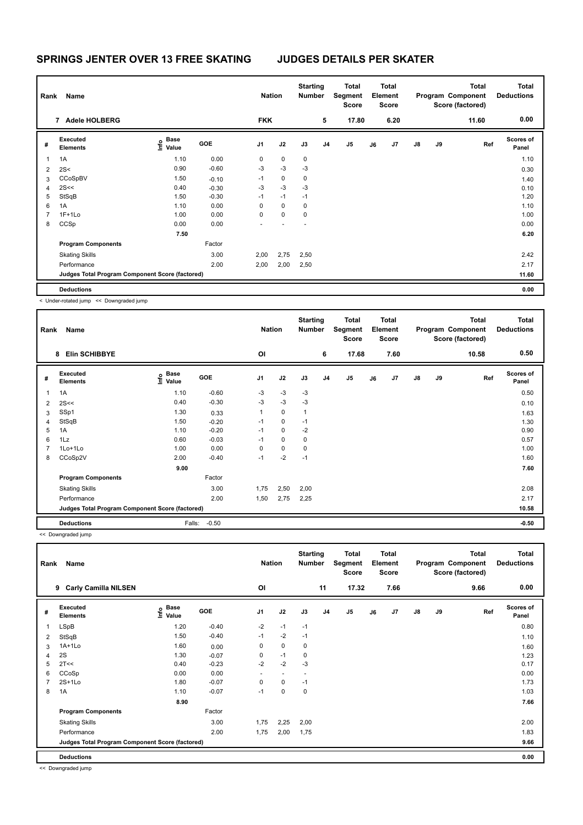| Rank | <b>Name</b>                                     |                                           |            | <b>Nation</b>            |             | <b>Starting</b><br><b>Number</b> |                | Total<br>Segment<br><b>Score</b> |    | Total<br>Element<br><b>Score</b> |               |    | <b>Total</b><br>Program Component<br>Score (factored) | <b>Total</b><br><b>Deductions</b> |
|------|-------------------------------------------------|-------------------------------------------|------------|--------------------------|-------------|----------------------------------|----------------|----------------------------------|----|----------------------------------|---------------|----|-------------------------------------------------------|-----------------------------------|
|      | 7 Adele HOLBERG                                 |                                           |            | <b>FKK</b>               |             |                                  | 5              | 17.80                            |    | 6.20                             |               |    | 11.60                                                 | 0.00                              |
| #    | <b>Executed</b><br><b>Elements</b>              | $\frac{e}{E}$ Base<br>$\frac{E}{E}$ Value | <b>GOE</b> | J1                       | J2          | J3                               | J <sub>4</sub> | J5                               | J6 | J7                               | $\mathsf{J}8$ | J9 | Ref                                                   | <b>Scores of</b><br>Panel         |
| 1    | 1A                                              | 1.10                                      | 0.00       | 0                        | $\mathbf 0$ | $\mathbf 0$                      |                |                                  |    |                                  |               |    |                                                       | 1.10                              |
| 2    | 2S<                                             | 0.90                                      | $-0.60$    | $-3$                     | $-3$        | $-3$                             |                |                                  |    |                                  |               |    |                                                       | 0.30                              |
| 3    | CCoSpBV                                         | 1.50                                      | $-0.10$    | $-1$                     | $\mathbf 0$ | $\mathbf 0$                      |                |                                  |    |                                  |               |    |                                                       | 1.40                              |
| 4    | 2S<<                                            | 0.40                                      | $-0.30$    | $-3$                     | $-3$        | $-3$                             |                |                                  |    |                                  |               |    |                                                       | 0.10                              |
| 5    | StSqB                                           | 1.50                                      | $-0.30$    | $-1$                     | $-1$        | $-1$                             |                |                                  |    |                                  |               |    |                                                       | 1.20                              |
| 6    | 1A                                              | 1.10                                      | 0.00       | 0                        | $\mathbf 0$ | 0                                |                |                                  |    |                                  |               |    |                                                       | 1.10                              |
| 7    | $1F+1Lo$                                        | 1.00                                      | 0.00       | $\Omega$                 | $\mathbf 0$ | 0                                |                |                                  |    |                                  |               |    |                                                       | 1.00                              |
| 8    | CCSp                                            | 0.00                                      | 0.00       | $\overline{\phantom{0}}$ |             |                                  |                |                                  |    |                                  |               |    |                                                       | 0.00                              |
|      |                                                 | 7.50                                      |            |                          |             |                                  |                |                                  |    |                                  |               |    |                                                       | 6.20                              |
|      | <b>Program Components</b>                       |                                           | Factor     |                          |             |                                  |                |                                  |    |                                  |               |    |                                                       |                                   |
|      | <b>Skating Skills</b>                           |                                           | 3.00       | 2,00                     | 2,75        | 2,50                             |                |                                  |    |                                  |               |    |                                                       | 2.42                              |
|      | Performance                                     |                                           | 2.00       | 2,00                     | 2,00        | 2,50                             |                |                                  |    |                                  |               |    |                                                       | 2.17                              |
|      | Judges Total Program Component Score (factored) |                                           |            |                          |             |                                  |                |                                  |    |                                  |               |    |                                                       | 11.60                             |
|      | <b>Deductions</b>                               |                                           |            |                          |             |                                  |                |                                  |    |                                  |               |    |                                                       | 0.00                              |

< Under-rotated jump << Downgraded jump

| Rank           | Name                                            |                                  |         | <b>Nation</b> |             | <b>Starting</b><br><b>Number</b> |                | Total<br>Segment<br><b>Score</b> |    | <b>Total</b><br>Element<br><b>Score</b> |               |    | <b>Total</b><br>Program Component<br>Score (factored) | <b>Total</b><br><b>Deductions</b> |
|----------------|-------------------------------------------------|----------------------------------|---------|---------------|-------------|----------------------------------|----------------|----------------------------------|----|-----------------------------------------|---------------|----|-------------------------------------------------------|-----------------------------------|
|                | <b>Elin SCHIBBYE</b><br>8                       |                                  |         | OI            |             |                                  | 6              | 17.68                            |    | 7.60                                    |               |    | 10.58                                                 | 0.50                              |
| #              | Executed<br><b>Elements</b>                     | <b>Base</b><br>e Base<br>⊆ Value | GOE     | J1            | J2          | J3                               | J <sub>4</sub> | J <sub>5</sub>                   | J6 | J7                                      | $\mathsf{J}8$ | J9 | Ref                                                   | <b>Scores of</b><br>Panel         |
| $\mathbf{1}$   | 1A                                              | 1.10                             | $-0.60$ | $-3$          | $-3$        | $-3$                             |                |                                  |    |                                         |               |    |                                                       | 0.50                              |
| 2              | 2S<<                                            | 0.40                             | $-0.30$ | $-3$          | $-3$        | $-3$                             |                |                                  |    |                                         |               |    |                                                       | 0.10                              |
| 3              | SSp1                                            | 1.30                             | 0.33    | $\mathbf{1}$  | $\mathbf 0$ | $\mathbf{1}$                     |                |                                  |    |                                         |               |    |                                                       | 1.63                              |
| $\overline{4}$ | StSqB                                           | 1.50                             | $-0.20$ | $-1$          | $\mathbf 0$ | $-1$                             |                |                                  |    |                                         |               |    |                                                       | 1.30                              |
| 5              | 1A                                              | 1.10                             | $-0.20$ | $-1$          | $\mathbf 0$ | $-2$                             |                |                                  |    |                                         |               |    |                                                       | 0.90                              |
| 6              | 1Lz                                             | 0.60                             | $-0.03$ | $-1$          | $\mathbf 0$ | 0                                |                |                                  |    |                                         |               |    |                                                       | 0.57                              |
| 7              | $1$ Lo $+1$ Lo                                  | 1.00                             | 0.00    | 0             | $\mathbf 0$ | 0                                |                |                                  |    |                                         |               |    |                                                       | 1.00                              |
| 8              | CCoSp2V                                         | 2.00                             | $-0.40$ | $-1$          | $-2$        | $-1$                             |                |                                  |    |                                         |               |    |                                                       | 1.60                              |
|                |                                                 | 9.00                             |         |               |             |                                  |                |                                  |    |                                         |               |    |                                                       | 7.60                              |
|                | <b>Program Components</b>                       |                                  | Factor  |               |             |                                  |                |                                  |    |                                         |               |    |                                                       |                                   |
|                | <b>Skating Skills</b>                           |                                  | 3.00    | 1,75          | 2,50        | 2,00                             |                |                                  |    |                                         |               |    |                                                       | 2.08                              |
|                | Performance                                     |                                  | 2.00    | 1,50          | 2,75        | 2,25                             |                |                                  |    |                                         |               |    |                                                       | 2.17                              |
|                | Judges Total Program Component Score (factored) |                                  |         |               |             |                                  |                |                                  |    |                                         |               |    |                                                       | 10.58                             |
|                | <b>Deductions</b>                               | Falls:                           | $-0.50$ |               |             |                                  |                |                                  |    |                                         |               |    |                                                       | $-0.50$                           |

<< Downgraded jump

| Rank | Name                                            |                                  |            | <b>Nation</b>  |                          | <b>Starting</b><br><b>Number</b> |                | Total<br>Segment<br>Score |    | <b>Total</b><br>Element<br><b>Score</b> |               |    | <b>Total</b><br>Program Component<br>Score (factored) | <b>Total</b><br><b>Deductions</b> |
|------|-------------------------------------------------|----------------------------------|------------|----------------|--------------------------|----------------------------------|----------------|---------------------------|----|-----------------------------------------|---------------|----|-------------------------------------------------------|-----------------------------------|
|      | <b>Carly Camilla NILSEN</b><br>9                |                                  |            | OI             |                          |                                  | 11             | 17.32                     |    | 7.66                                    |               |    | 9.66                                                  | 0.00                              |
| #    | Executed<br><b>Elements</b>                     | <b>Base</b><br>e Base<br>⊆ Value | <b>GOE</b> | J <sub>1</sub> | J2                       | J3                               | J <sub>4</sub> | J <sub>5</sub>            | J6 | J7                                      | $\mathsf{J}8$ | J9 | Ref                                                   | <b>Scores of</b><br>Panel         |
| 1    | LSpB                                            | 1.20                             | $-0.40$    | $-2$           | $-1$                     | $-1$                             |                |                           |    |                                         |               |    |                                                       | 0.80                              |
| 2    | StSqB                                           | 1.50                             | $-0.40$    | $-1$           | $-2$                     | $-1$                             |                |                           |    |                                         |               |    |                                                       | 1.10                              |
| 3    | $1A+1Lo$                                        | 1.60                             | 0.00       | $\mathbf 0$    | $\mathbf 0$              | $\pmb{0}$                        |                |                           |    |                                         |               |    |                                                       | 1.60                              |
| 4    | 2S                                              | 1.30                             | $-0.07$    | 0              | $-1$                     | 0                                |                |                           |    |                                         |               |    |                                                       | 1.23                              |
| 5    | 2T<<                                            | 0.40                             | $-0.23$    | $-2$           | $-2$                     | -3                               |                |                           |    |                                         |               |    |                                                       | 0.17                              |
| 6    | CCoSp                                           | 0.00                             | 0.00       | ٠              | $\overline{\phantom{a}}$ | -                                |                |                           |    |                                         |               |    |                                                       | 0.00                              |
|      | $2S+1Lo$                                        | 1.80                             | $-0.07$    | 0              | 0                        | $-1$                             |                |                           |    |                                         |               |    |                                                       | 1.73                              |
| 8    | 1A                                              | 1.10                             | $-0.07$    | $-1$           | $\mathbf 0$              | $\mathbf 0$                      |                |                           |    |                                         |               |    |                                                       | 1.03                              |
|      |                                                 | 8.90                             |            |                |                          |                                  |                |                           |    |                                         |               |    |                                                       | 7.66                              |
|      | <b>Program Components</b>                       |                                  | Factor     |                |                          |                                  |                |                           |    |                                         |               |    |                                                       |                                   |
|      | <b>Skating Skills</b>                           |                                  | 3.00       | 1,75           | 2,25                     | 2,00                             |                |                           |    |                                         |               |    |                                                       | 2.00                              |
|      | Performance                                     |                                  | 2.00       | 1,75           | 2,00                     | 1,75                             |                |                           |    |                                         |               |    |                                                       | 1.83                              |
|      | Judges Total Program Component Score (factored) |                                  |            |                |                          |                                  |                |                           |    |                                         |               |    |                                                       | 9.66                              |
|      | <b>Deductions</b>                               |                                  |            |                |                          |                                  |                |                           |    |                                         |               |    |                                                       | 0.00                              |

<< Downgraded jump